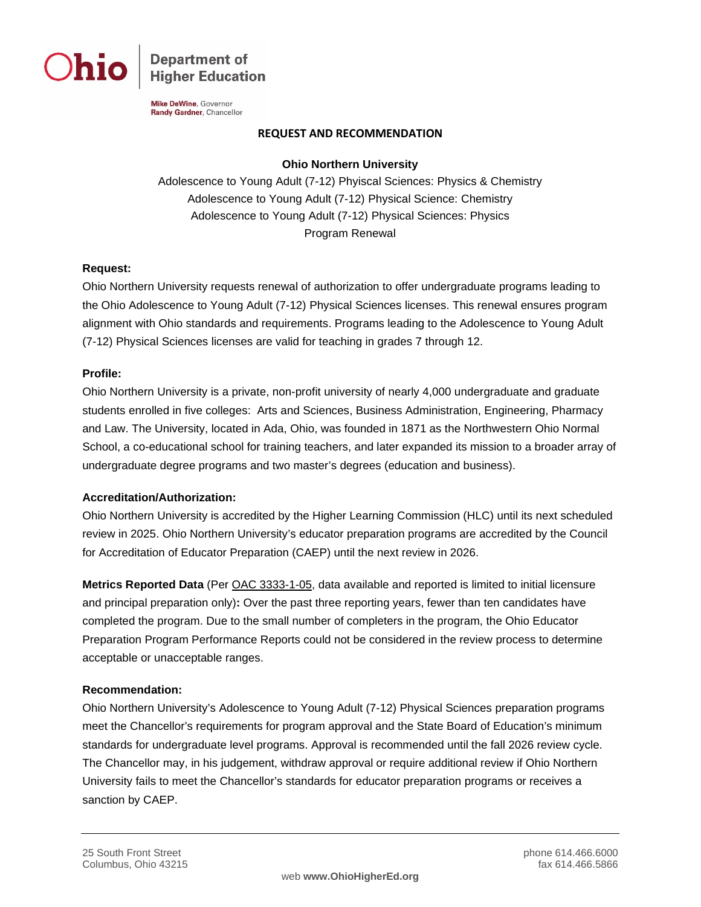

**Department of Higher Education** 

Mike DeWine, Governor Randy Gardner, Chancellor

### **REQUEST AND RECOMMENDATION**

### **Ohio Northern University**

Adolescence to Young Adult (7-12) Phyiscal Sciences: Physics & Chemistry Adolescence to Young Adult (7-12) Physical Science: Chemistry Adolescence to Young Adult (7-12) Physical Sciences: Physics Program Renewal

### **Request:**

Ohio Northern University requests renewal of authorization to offer undergraduate programs leading to the Ohio Adolescence to Young Adult (7-12) Physical Sciences licenses. This renewal ensures program alignment with Ohio standards and requirements. Programs leading to the Adolescence to Young Adult (7-12) Physical Sciences licenses are valid for teaching in grades 7 through 12.

## **Profile:**

Ohio Northern University is a private, non-profit university of nearly 4,000 undergraduate and graduate students enrolled in five colleges: Arts and Sciences, Business Administration, Engineering, Pharmacy and Law. The University, located in Ada, Ohio, was founded in 1871 as the Northwestern Ohio Normal School, a co-educational school for training teachers, and later expanded its mission to a broader array of undergraduate degree programs and two master's degrees (education and business).

# **Accreditation/Authorization:**

Ohio Northern University is accredited by the Higher Learning Commission (HLC) until its next scheduled review in 2025. Ohio Northern University's educator preparation programs are accredited by the Council for Accreditation of Educator Preparation (CAEP) until the next review in 2026.

**Metrics Reported Data** (Per [OAC 3333-1-05,](http://codes.ohio.gov/oac/3333-1-05) data available and reported is limited to initial licensure and principal preparation only)**:** Over the past three reporting years, fewer than ten candidates have completed the program. Due to the small number of completers in the program, the Ohio Educator Preparation Program Performance Reports could not be considered in the review process to determine acceptable or unacceptable ranges.

# **Recommendation:**

Ohio Northern University's Adolescence to Young Adult (7-12) Physical Sciences preparation programs meet the Chancellor's requirements for program approval and the State Board of Education's minimum standards for undergraduate level programs. Approval is recommended until the fall 2026 review cycle. The Chancellor may, in his judgement, withdraw approval or require additional review if Ohio Northern University fails to meet the Chancellor's standards for educator preparation programs or receives a sanction by CAEP.